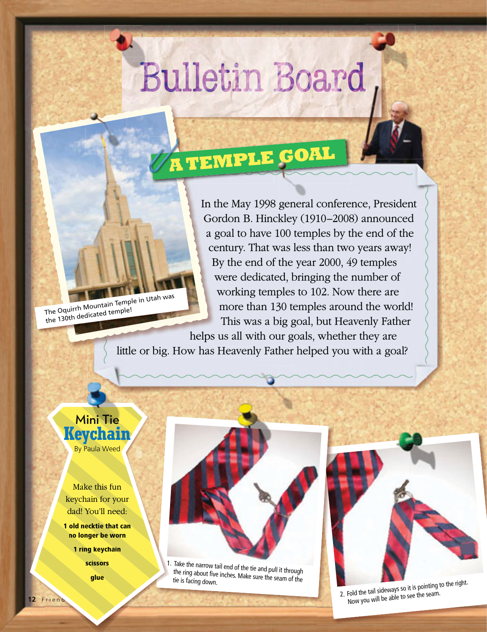## **Bulletin Board**

**A TEMPLE GOAL G A T**

The Oquirrh Mountain Temple in Utah was the 130th dedicated temple!

In the May 1998 general conference, President Gordon B. Hinckley (1910–2008) announced a goal to have 100 temples by the end of the century. That was less than two years away! By the end of the year 2000, 49 temples were d Gordon B. Hinckley (1910–2008) announced Go a goal to have 100 temples by the end of the century. That was less than two years away! ce By the end of the year 2000, 49 temples B were dedicated, bringing the number of w working temples to 102. Now there are more than 130 temples around the world! This was a big goal, but Heavenly Father the May 1998 genera

*\*"This Great Millennial Year," Ensign, Nov. 2000, 68.*

*\* This MillennialYear, 2000*

helps us all with our goals, whether they are helps h little or big. How has Heavenly Father helped you with a goal?

## Mini Tie **Keychain** By Paula Weed

Make this fun keychain for your dad! You'll need:

**1 old necktie that can no longer be worn** 

**1 ring keychain ain**

**scissors glue**

 $\,$  1. Take the narrow tail end of the tie and pull it through the ring about five inches. Make sure the seam of the tie is facing down.



2. Fold the tail sideways so it is pointing to the right. Now you will be able to see the seam.